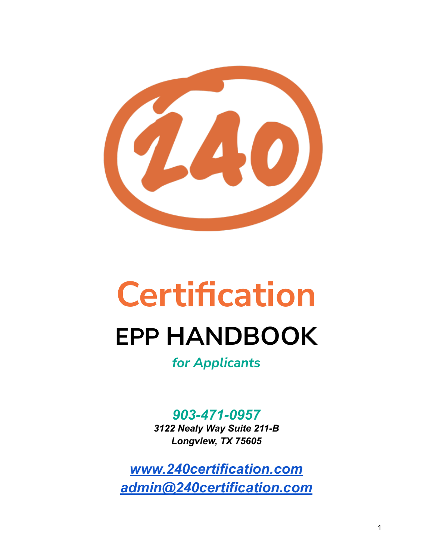

# **Certification EPP HANDBOOK**

*for Applicants*

*903-471-0957 3122 Nealy Way Suite 211-B Longview, TX 75605*

*[www.240certification.com](http://www.240certification.com) [admin@240certification.com](mailto:admin@240certification.com)*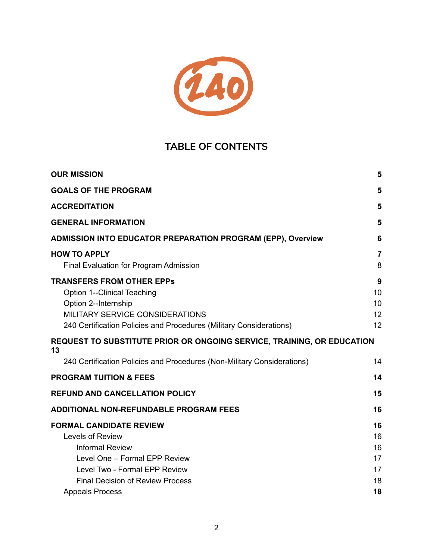

## **TABLE OF CONTENTS**

| <b>OUR MISSION</b>                                                                                                                                                                                              | 5                                |
|-----------------------------------------------------------------------------------------------------------------------------------------------------------------------------------------------------------------|----------------------------------|
| <b>GOALS OF THE PROGRAM</b>                                                                                                                                                                                     | 5                                |
| <b>ACCREDITATION</b>                                                                                                                                                                                            | 5                                |
| <b>GENERAL INFORMATION</b>                                                                                                                                                                                      | 5                                |
| <b>ADMISSION INTO EDUCATOR PREPARATION PROGRAM (EPP), Overview</b>                                                                                                                                              | 6                                |
| <b>HOW TO APPLY</b><br>Final Evaluation for Program Admission                                                                                                                                                   | $\overline{7}$<br>8              |
| <b>TRANSFERS FROM OTHER EPPS</b><br><b>Option 1--Clinical Teaching</b><br>Option 2--Internship<br><b>MILITARY SERVICE CONSIDERATIONS</b><br>240 Certification Policies and Procedures (Military Considerations) | 9<br>10<br>10<br>12<br>12        |
| <b>REQUEST TO SUBSTITUTE PRIOR OR ONGOING SERVICE, TRAINING, OR EDUCATION</b><br>13                                                                                                                             |                                  |
| 240 Certification Policies and Procedures (Non-Military Considerations)                                                                                                                                         | 14                               |
| <b>PROGRAM TUITION &amp; FEES</b>                                                                                                                                                                               | 14                               |
| <b>REFUND AND CANCELLATION POLICY</b>                                                                                                                                                                           | 15                               |
| <b>ADDITIONAL NON-REFUNDABLE PROGRAM FEES</b>                                                                                                                                                                   | 16                               |
| <b>FORMAL CANDIDATE REVIEW</b><br>Levels of Review<br><b>Informal Review</b><br>Level One - Formal EPP Review<br>Level Two - Formal EPP Review<br><b>Final Decision of Review Process</b>                       | 16<br>16<br>16<br>17<br>17<br>18 |
| <b>Appeals Process</b>                                                                                                                                                                                          | 18                               |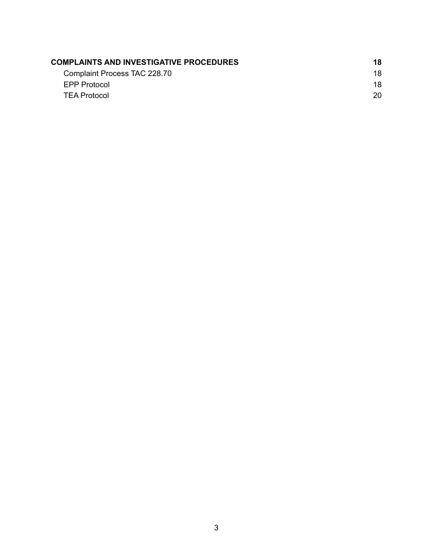| <b>COMPLAINTS AND INVESTIGATIVE PROCEDURES</b> | 18. |
|------------------------------------------------|-----|
| Complaint Process TAC 228.70                   | 18. |
| EPP Protocol                                   | 18. |
| <b>TEA Protocol</b>                            | 20. |
|                                                |     |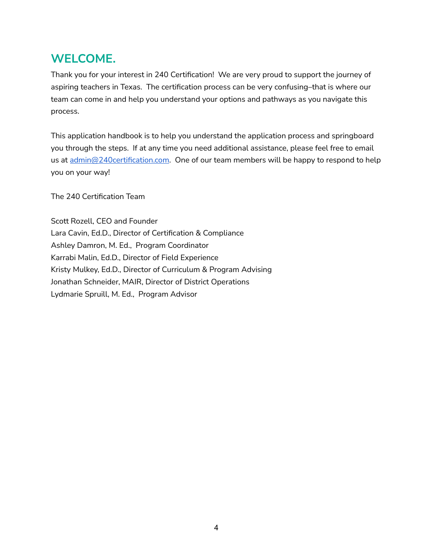# **WELCOME.**

Thank you for your interest in 240 Certification! We are very proud to support the journey of aspiring teachers in Texas. The certification process can be very confusing–that is where our team can come in and help you understand your options and pathways as you navigate this process.

This application handbook is to help you understand the application process and springboard you through the steps. If at any time you need additional assistance, please feel free to email us at [admin@240certification.com](mailto:admin@240certification.com). One of our team members will be happy to respond to help you on your way!

The 240 Certification Team

Scott Rozell, CEO and Founder Lara Cavin, Ed.D., Director of Certification & Compliance Ashley Damron, M. Ed., Program Coordinator Karrabi Malin, Ed.D., Director of Field Experience Kristy Mulkey, Ed.D., Director of Curriculum & Program Advising Jonathan Schneider, MAIR, Director of District Operations Lydmarie Spruill, M. Ed., Program Advisor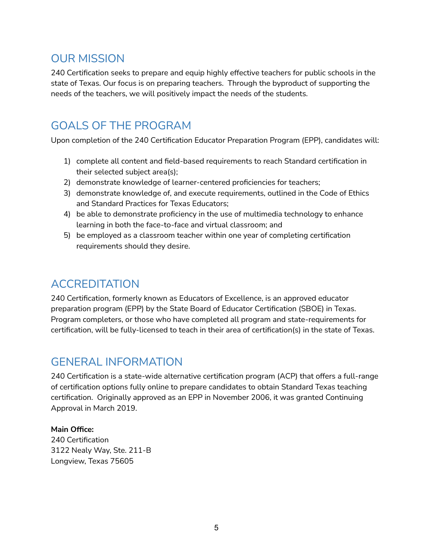## <span id="page-4-0"></span>OUR MISSION

240 Certification seeks to prepare and equip highly effective teachers for public schools in the state of Texas. Our focus is on preparing teachers. Through the byproduct of supporting the needs of the teachers, we will positively impact the needs of the students.

# <span id="page-4-1"></span>GOALS OF THE PROGRAM

Upon completion of the 240 Certification Educator Preparation Program (EPP), candidates will:

- 1) complete all content and field-based requirements to reach Standard certification in their selected subject area(s);
- 2) demonstrate knowledge of learner-centered proficiencies for teachers;
- 3) demonstrate knowledge of, and execute requirements, outlined in the Code of Ethics and Standard Practices for Texas Educators;
- 4) be able to demonstrate proficiency in the use of multimedia technology to enhance learning in both the face-to-face and virtual classroom; and
- 5) be employed as a classroom teacher within one year of completing certification requirements should they desire.

# <span id="page-4-2"></span>ACCREDITATION

240 Certification, formerly known as Educators of Excellence, is an approved educator preparation program (EPP) by the State Board of Educator Certification (SBOE) in Texas. Program completers, or those who have completed all program and state-requirements for certification, will be fully-licensed to teach in their area of certification(s) in the state of Texas.

## <span id="page-4-3"></span>GENERAL INFORMATION

240 Certification is a state-wide alternative certification program (ACP) that offers a full-range of certification options fully online to prepare candidates to obtain Standard Texas teaching certification. Originally approved as an EPP in November 2006, it was granted Continuing Approval in March 2019.

#### **Main Office:**

240 Certification 3122 Nealy Way, Ste. 211-B Longview, Texas 75605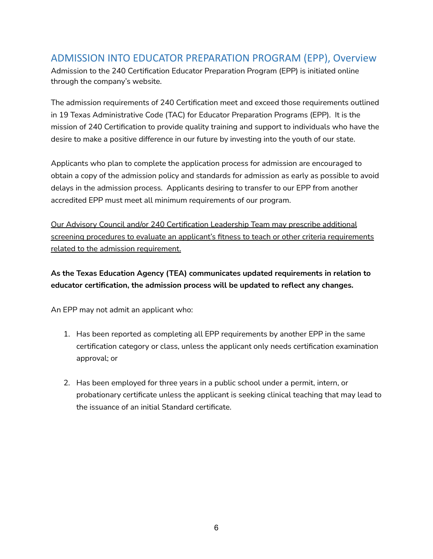#### <span id="page-5-0"></span>ADMISSION INTO EDUCATOR PREPARATION PROGRAM (EPP), Overview

Admission to the 240 Certification Educator Preparation Program (EPP) is initiated online through the company's website.

The admission requirements of 240 Certification meet and exceed those requirements outlined in 19 Texas Administrative Code (TAC) for Educator Preparation Programs (EPP). It is the mission of 240 Certification to provide quality training and support to individuals who have the desire to make a positive difference in our future by investing into the youth of our state.

Applicants who plan to complete the application process for admission are encouraged to obtain a copy of the admission policy and standards for admission as early as possible to avoid delays in the admission process. Applicants desiring to transfer to our EPP from another accredited EPP must meet all minimum requirements of our program.

Our Advisory Council and/or 240 Certification Leadership Team may prescribe additional screening procedures to evaluate an applicant's fitness to teach or other criteria requirements related to the admission requirement.

#### **As the Texas Education Agency (TEA) communicates updated requirements in relation to educator certification, the admission process will be updated to reflect any changes.**

An EPP may not admit an applicant who:

- 1. Has been reported as completing all EPP requirements by another EPP in the same certification category or class, unless the applicant only needs certification examination approval; or
- 2. Has been employed for three years in a public school under a permit, intern, or probationary certificate unless the applicant is seeking clinical teaching that may lead to the issuance of an initial Standard certificate.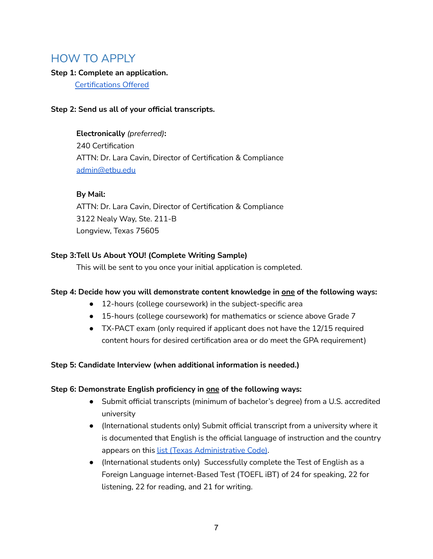## <span id="page-6-0"></span>HOW TO APPLY

#### **Step 1: Complete an application.**

[Certifications](https://docs.google.com/document/d/1tI25xWO_Ef-5PsuuQVhwpQR9MK8Ao6q3q7uLcz7D1C4/edit?usp=sharing) Offered

#### **Step 2: Send us all of your official transcripts.**

**Electronically** *(preferred)***:** 240 Certification ATTN: Dr. Lara Cavin, Director of Certification & Compliance [admin@etbu.edu](mailto:admin@etbu.edu)

#### **By Mail:**

ATTN: Dr. Lara Cavin, Director of Certification & Compliance 3122 Nealy Way, Ste. 211-B Longview, Texas 75605

#### **Step 3:Tell Us About YOU! (Complete Writing Sample)**

This will be sent to you once your initial application is completed.

#### **Step 4: Decide how you will demonstrate content knowledge in one of the following ways:**

- 12-hours (college coursework) in the subject-specific area
- 15-hours (college coursework) for mathematics or science above Grade 7
- TX-PACT exam (only required if applicant does not have the 12/15 required content hours for desired certification area or do meet the GPA requirement)

#### **Step 5: Candidate Interview (when additional information is needed.)**

#### **Step 6: Demonstrate English proficiency in one of the following ways:**

- Submit official transcripts (minimum of bachelor's degree) from a U.S. accredited university
- (International students only) Submit official transcript from a university where it is documented that English is the official language of instruction and the country appears on this list (Texas [Administrative](https://tea.texas.gov/sites/default/files/2017_08_figure-19_0230_0011-1.pdf) Code).
- (International students only) Successfully complete the Test of English as a Foreign Language internet-Based Test (TOEFL iBT) of 24 for speaking, 22 for listening, 22 for reading, and 21 for writing.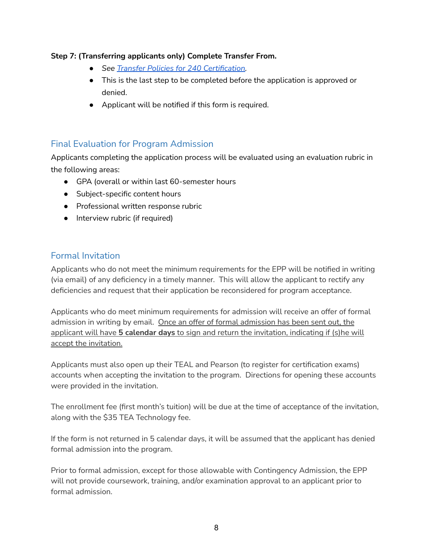#### **Step 7: (Transferring applicants only) Complete Transfer From.**

- *● See Transfer Policies for 240 [Certification.](https://docs.google.com/document/d/1i_0Z-5dmu2FqKUA1zSup2U1nTU9fkiXhILOXozGDs2E/edit?usp=sharing)*
- This is the last step to be completed before the application is approved or denied.
- Applicant will be notified if this form is required.

#### <span id="page-7-0"></span>Final Evaluation for Program Admission

Applicants completing the application process will be evaluated using an evaluation rubric in the following areas:

- GPA (overall or within last 60-semester hours
- Subject-specific content hours
- Professional written response rubric
- Interview rubric (if required)

#### Formal Invitation

Applicants who do not meet the minimum requirements for the EPP will be notified in writing (via email) of any deficiency in a timely manner. This will allow the applicant to rectify any deficiencies and request that their application be reconsidered for program acceptance.

Applicants who do meet minimum requirements for admission will receive an offer of formal admission in writing by email. Once an offer of formal admission has been sent out, the applicant will have **5 calendar days** to sign and return the invitation, indicating if (s)he will accept the invitation.

Applicants must also open up their TEAL and Pearson (to register for certification exams) accounts when accepting the invitation to the program. Directions for opening these accounts were provided in the invitation.

The enrollment fee (first month's tuition) will be due at the time of acceptance of the invitation, along with the \$35 TEA Technology fee.

If the form is not returned in 5 calendar days, it will be assumed that the applicant has denied formal admission into the program.

Prior to formal admission, except for those allowable with Contingency Admission, the EPP will not provide coursework, training, and/or examination approval to an applicant prior to formal admission.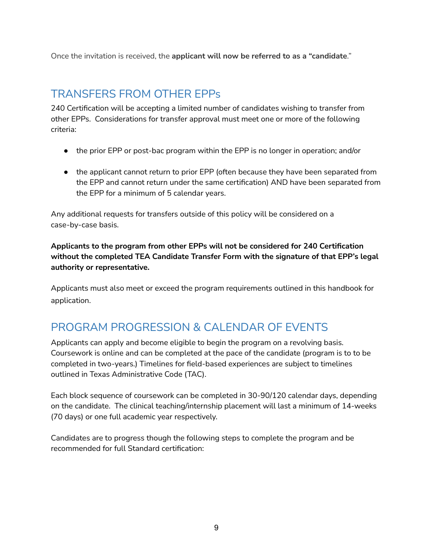Once the invitation is received, the **applicant will now be referred to as a "candidate**."

## <span id="page-8-0"></span>TRANSFERS FROM OTHER EPPs

240 Certification will be accepting a limited number of candidates wishing to transfer from other EPPs. Considerations for transfer approval must meet one or more of the following criteria:

- the prior EPP or post-bac program within the EPP is no longer in operation; and/or
- the applicant cannot return to prior EPP (often because they have been separated from the EPP and cannot return under the same certification) AND have been separated from the EPP for a minimum of 5 calendar years.

Any additional requests for transfers outside of this policy will be considered on a case-by-case basis.

**Applicants to the program from other EPPs will not be considered for 240 Certification without the completed TEA Candidate Transfer Form with the signature of that EPP's legal authority or representative.**

Applicants must also meet or exceed the program requirements outlined in this handbook for application.

# PROGRAM PROGRESSION & CALENDAR OF EVENTS

Applicants can apply and become eligible to begin the program on a revolving basis. Coursework is online and can be completed at the pace of the candidate (program is to to be completed in two-years.) Timelines for field-based experiences are subject to timelines outlined in Texas Administrative Code (TAC).

Each block sequence of coursework can be completed in 30-90/120 calendar days, depending on the candidate. The clinical teaching/internship placement will last a minimum of 14-weeks (70 days) or one full academic year respectively.

Candidates are to progress though the following steps to complete the program and be recommended for full Standard certification: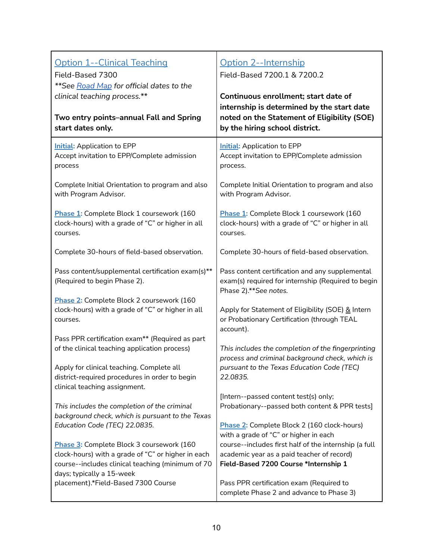<span id="page-9-1"></span><span id="page-9-0"></span>

| <b>Option 1--Clinical Teaching</b>                                                                                                                                                | <u>Option 2--Internship</u>                                                                                                                                                     |
|-----------------------------------------------------------------------------------------------------------------------------------------------------------------------------------|---------------------------------------------------------------------------------------------------------------------------------------------------------------------------------|
| Field-Based 7300                                                                                                                                                                  | Field-Based 7200.1 & 7200.2                                                                                                                                                     |
| **See Road Map for official dates to the                                                                                                                                          | Continuous enrollment; start date of                                                                                                                                            |
| clinical teaching process.**                                                                                                                                                      | internship is determined by the start date                                                                                                                                      |
| Two entry points-annual Fall and Spring                                                                                                                                           | noted on the Statement of Eligibility (SOE)                                                                                                                                     |
| start dates only.                                                                                                                                                                 | by the hiring school district.                                                                                                                                                  |
| <b>Initial:</b> Application to EPP                                                                                                                                                | <b>Initial:</b> Application to EPP                                                                                                                                              |
| Accept invitation to EPP/Complete admission                                                                                                                                       | Accept invitation to EPP/Complete admission                                                                                                                                     |
| process                                                                                                                                                                           | process.                                                                                                                                                                        |
| Complete Initial Orientation to program and also                                                                                                                                  | Complete Initial Orientation to program and also                                                                                                                                |
| with Program Advisor.                                                                                                                                                             | with Program Advisor.                                                                                                                                                           |
| Phase 1: Complete Block 1 coursework (160                                                                                                                                         | Phase 1: Complete Block 1 coursework (160                                                                                                                                       |
| clock-hours) with a grade of "C" or higher in all                                                                                                                                 | clock-hours) with a grade of "C" or higher in all                                                                                                                               |
| courses.                                                                                                                                                                          | courses.                                                                                                                                                                        |
| Complete 30-hours of field-based observation.                                                                                                                                     | Complete 30-hours of field-based observation.                                                                                                                                   |
| Pass content/supplemental certification exam(s)**<br>(Required to begin Phase 2).                                                                                                 | Pass content certification and any supplemental<br>exam(s) required for internship (Required to begin<br>Phase 2).**See notes.                                                  |
| Phase 2: Complete Block 2 coursework (160                                                                                                                                         | Apply for Statement of Eligibility (SOE) & Intern                                                                                                                               |
| clock-hours) with a grade of "C" or higher in all                                                                                                                                 | or Probationary Certification (through TEAL                                                                                                                                     |
| courses.                                                                                                                                                                          | account).                                                                                                                                                                       |
| Pass PPR certification exam** (Required as part                                                                                                                                   | This includes the completion of the fingerprinting                                                                                                                              |
| of the clinical teaching application process)                                                                                                                                     | process and criminal background check, which is                                                                                                                                 |
| Apply for clinical teaching. Complete all<br>district-required procedures in order to begin<br>clinical teaching assignment.                                                      | pursuant to the Texas Education Code (TEC)<br>22.0835.                                                                                                                          |
| This includes the completion of the criminal<br>background check, which is pursuant to the Texas<br>Education Code (TEC) 22.0835.                                                 | [Intern--passed content test(s) only;<br>Probationary--passed both content & PPR tests]<br>Phase 2: Complete Block 2 (160 clock-hours)<br>with a grade of "C" or higher in each |
| Phase 3: Complete Block 3 coursework (160<br>clock-hours) with a grade of "C" or higher in each<br>course--includes clinical teaching (minimum of 70<br>days; typically a 15-week | course--includes first half of the internship (a full<br>academic year as a paid teacher of record)<br>Field-Based 7200 Course *Internship 1                                    |
| placement).*Field-Based 7300 Course                                                                                                                                               | Pass PPR certification exam (Required to<br>complete Phase 2 and advance to Phase 3)                                                                                            |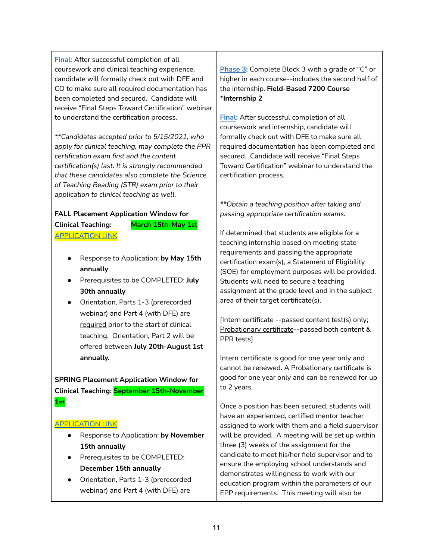**Final:** After successful completion of all coursework and clinical teaching experience, candidate will formally check out with DFE and CO to make sure all required documentation has been completed and secured. Candidate will receive "Final Steps Toward Certification" webinar to understand the certification process.

*\*\*Candidates accepted prior to 5/15/2021, who apply for clinical teaching, may complete the PPR certification exam first and the content certification(s) last. It is strongly recommended that these candidates also complete the Science of Teaching Reading (STR) exam prior to their application to clinical teaching as well.*

#### **FALL Placement Application Window for Clinical Teaching: March 15th-May 1st**

[APPLICATION](https://form.jotform.com/211963713986063) LINK

- Response to Application: **by May 15th annually**
- Prerequisites to be COMPLETED: **July 30th annually**
- Orientation, Parts 1-3 (prerecorded webinar) and Part 4 (with DFE) are required prior to the start of clinical teaching. Orientation, Part 2 will be offered between **July 20th-August 1st annually.**

**SPRING Placement Application Window for Clinical Teaching: September 15th-November 1st**

#### [APPLICATION](https://form.jotform.com/211963713986063) LINK

- Response to Application: **by November 15th annually**
- Prerequisites to be COMPLETED: **December 15th annually**
- Orientation, Parts 1-3 (prerecorded webinar) and Part 4 (with DFE) are

**Phase 3:** Complete Block 3 with a grade of "C" or higher in each course--includes the second half of the internship. **Field-Based 7200 Course \*Internship 2**

**Final:** After successful completion of all coursework and internship, candidate will formally check out with DFE to make sure all required documentation has been completed and secured. Candidate will receive "Final Steps Toward Certification" webinar to understand the certification process.

*\*\*Obtain a teaching position after taking and passing appropriate certification exams.*

If determined that students are eligible for a teaching internship based on meeting state requirements and passing the appropriate certification exam(s), a Statement of Eligibility (SOE) for employment purposes will be provided. Students will need to secure a teaching assignment at the grade level and in the subject area of their target certificate(s).

[Intern certificate --passed content test(s) only; Probationary certificate--passed both content & PPR tests]

Intern certificate is good for one year only and cannot be renewed. A Probationary certificate is good for one year only and can be renewed for up to 2 years.

Once a position has been secured, students will have an experienced, certified mentor teacher assigned to work with them and a field supervisor will be provided. A meeting will be set up within three (3) weeks of the assignment for the candidate to meet his/her field supervisor and to ensure the employing school understands and demonstrates willingness to work with our education program within the parameters of our EPP requirements. This meeting will also be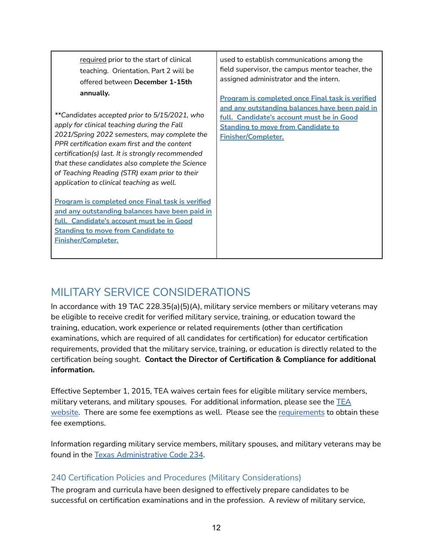required prior to the start of clinical teaching. Orientation, Part 2 will be offered between **December 1-15th annually.** *\*\*Candidates accepted prior to 5/15/2021, who apply for clinical teaching during the Fall 2021/Spring 2022 semesters, may complete the PPR certification exam first and the content certification(s) last. It is strongly recommended that these candidates also complete the Science of Teaching Reading (STR) exam prior to their application to clinical teaching as well.* **Program is completed once Final task is verified and any outstanding balances have been paid in full. Candidate's account must be in Good Standing to move from Candidate to Finisher/Completer.** used to establish communications among the field supervisor, the campus mentor teacher, the assigned administrator and the intern. **Program is completed once Final task is verified and any outstanding balances have been paid in full. Candidate's account must be in Good Standing to move from Candidate to Finisher/Completer.**

# <span id="page-11-0"></span>MILITARY SERVICE CONSIDERATIONS

In accordance with 19 TAC 228.35(a)(5)(A), military service members or military veterans may be eligible to receive credit for verified military service, training, or education toward the training, education, work experience or related requirements (other than certification examinations, which are required of all candidates for certification) for educator certification requirements, provided that the military service, training, or education is directly related to the certification being sought. **Contact the Director of Certification & Compliance for additional information.**

Effective September 1, 2015, TEA waives certain fees for eligible military service members, military veterans, and military spouses. For additional information, please see the [TEA](https://tea.texas.gov/texas-educators/certification/military-community) [website.](https://tea.texas.gov/texas-educators/certification/military-community) There are some fee exemptions as well. Please see the [requirements](https://tea.texas.gov/texas-educators/certification/document-upload-in-the-educator-certification-online-system-ecos) to obtain these fee exemptions.

Information regarding military service members, military spouses, and military veterans may be found in the Texas [Administrative](https://texreg.sos.state.tx.us/public/readtac$ext.TacPage?sl=R&app=9&p_dir=&p_rloc=&p_tloc=&p_ploc=&pg=1&p_tac=&ti=19&pt=7&ch=234&rl=1) Code 234.

#### <span id="page-11-1"></span>240 Certification Policies and Procedures (Military Considerations)

The program and curricula have been designed to effectively prepare candidates to be successful on certification examinations and in the profession. A review of military service,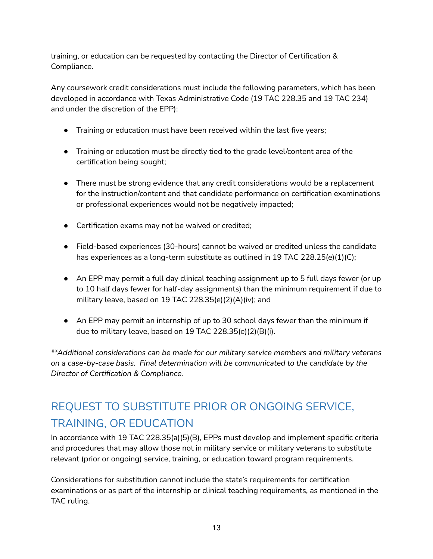training, or education can be requested by contacting the Director of Certification & Compliance.

Any coursework credit considerations must include the following parameters, which has been developed in accordance with Texas Administrative Code (19 TAC 228.35 and 19 TAC 234) and under the discretion of the EPP):

- Training or education must have been received within the last five years;
- Training or education must be directly tied to the grade level/content area of the certification being sought;
- There must be strong evidence that any credit considerations would be a replacement for the instruction/content and that candidate performance on certification examinations or professional experiences would not be negatively impacted;
- Certification exams may not be waived or credited;
- Field-based experiences (30-hours) cannot be waived or credited unless the candidate has experiences as a long-term substitute as outlined in 19 TAC 228.25(e)(1)(C);
- An EPP may permit a full day clinical teaching assignment up to 5 full days fewer (or up to 10 half days fewer for half-day assignments) than the minimum requirement if due to military leave, based on 19 TAC 228.35(e)(2)(A)(iv); and
- An EPP may permit an internship of up to 30 school days fewer than the minimum if due to military leave, based on 19 TAC 228.35(e)(2)(B)(i).

*\*\*Additional considerations can be made for our military service members and military veterans on a case-by-case basis. Final determination will be communicated to the candidate by the Director of Certification & Compliance.*

# <span id="page-12-0"></span>REQUEST TO SUBSTITUTE PRIOR OR ONGOING SERVICE, TRAINING, OR EDUCATION

In accordance with 19 TAC 228.35(a)(5)(B), EPPs must develop and implement specific criteria and procedures that may allow those not in military service or military veterans to substitute relevant (prior or ongoing) service, training, or education toward program requirements.

Considerations for substitution cannot include the state's requirements for certification examinations or as part of the internship or clinical teaching requirements, as mentioned in the TAC ruling.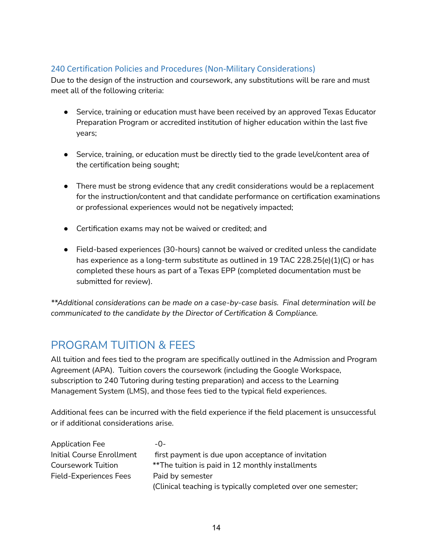#### <span id="page-13-0"></span>240 Certification Policies and Procedures (Non-Military Considerations)

Due to the design of the instruction and coursework, any substitutions will be rare and must meet all of the following criteria:

- Service, training or education must have been received by an approved Texas Educator Preparation Program or accredited institution of higher education within the last five years;
- Service, training, or education must be directly tied to the grade level/content area of the certification being sought;
- There must be strong evidence that any credit considerations would be a replacement for the instruction/content and that candidate performance on certification examinations or professional experiences would not be negatively impacted;
- Certification exams may not be waived or credited; and
- Field-based experiences (30-hours) cannot be waived or credited unless the candidate has experience as a long-term substitute as outlined in 19 TAC 228.25(e)(1)(C) or has completed these hours as part of a Texas EPP (completed documentation must be submitted for review).

*\*\*Additional considerations can be made on a case-by-case basis. Final determination will be communicated to the candidate by the Director of Certification & Compliance.*

## <span id="page-13-1"></span>PROGRAM TUITION & FEES

All tuition and fees tied to the program are specifically outlined in the Admission and Program Agreement (APA). Tuition covers the coursework (including the Google Workspace, subscription to 240 Tutoring during testing preparation) and access to the Learning Management System (LMS), and those fees tied to the typical field experiences.

Additional fees can be incurred with the field experience if the field placement is unsuccessful or if additional considerations arise.

| <b>Application Fee</b>    | $-()$ -                                                      |
|---------------------------|--------------------------------------------------------------|
| Initial Course Enrollment | first payment is due upon acceptance of invitation           |
| Coursework Tuition        | **The tuition is paid in 12 monthly installments             |
| Field-Experiences Fees    | Paid by semester                                             |
|                           | (Clinical teaching is typically completed over one semester; |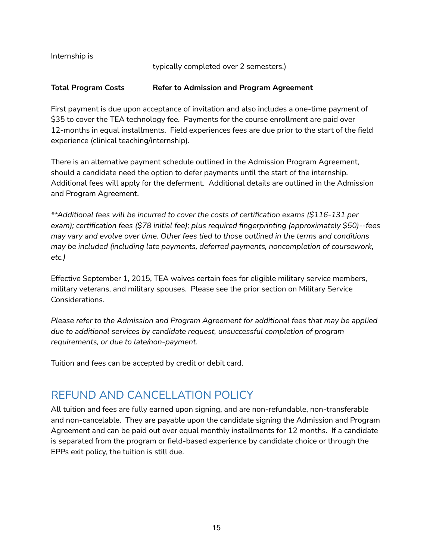Internship is

typically completed over 2 semesters.)

#### **Total Program Costs Refer to Admission and Program Agreement**

First payment is due upon acceptance of invitation and also includes a one-time payment of \$35 to cover the TEA technology fee. Payments for the course enrollment are paid over 12-months in equal installments. Field experiences fees are due prior to the start of the field experience (clinical teaching/internship).

There is an alternative payment schedule outlined in the Admission Program Agreement, should a candidate need the option to defer payments until the start of the internship. Additional fees will apply for the deferment. Additional details are outlined in the Admission and Program Agreement.

*\*\*Additional fees will be incurred to cover the costs of certification exams (\$116-131 per exam); certification fees (\$78 initial fee); plus required fingerprinting (approximately \$50)--fees may vary and evolve over time. Other fees tied to those outlined in the terms and conditions may be included (including late payments, deferred payments, noncompletion of coursework, etc.)*

Effective September 1, 2015, TEA waives certain fees for eligible military service members, military veterans, and military spouses. Please see the prior section on Military Service Considerations.

*Please refer to the Admission and Program Agreement for additional fees that may be applied due to additional services by candidate request, unsuccessful completion of program requirements, or due to late/non-payment.*

Tuition and fees can be accepted by credit or debit card.

## <span id="page-14-0"></span>REFUND AND CANCELLATION POLICY

All tuition and fees are fully earned upon signing, and are non-refundable, non-transferable and non-cancelable. They are payable upon the candidate signing the Admission and Program Agreement and can be paid out over equal monthly installments for 12 months. If a candidate is separated from the program or field-based experience by candidate choice or through the EPPs exit policy, the tuition is still due.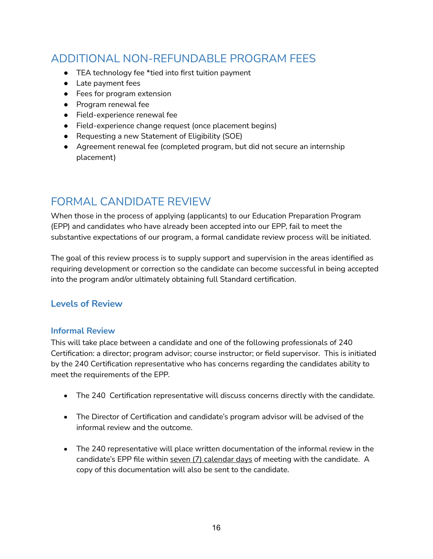# <span id="page-15-0"></span>ADDITIONAL NON-REFUNDABLE PROGRAM FEES

- TEA technology fee \*tied into first tuition payment
- Late payment fees
- Fees for program extension
- Program renewal fee
- Field-experience renewal fee
- Field-experience change request (once placement begins)
- Requesting a new Statement of Eligibility (SOE)
- Agreement renewal fee (completed program, but did not secure an internship placement)

# <span id="page-15-1"></span>FORMAL CANDIDATE REVIEW

When those in the process of applying (applicants) to our Education Preparation Program (EPP) and candidates who have already been accepted into our EPP, fail to meet the substantive expectations of our program, a formal candidate review process will be initiated.

The goal of this review process is to supply support and supervision in the areas identified as requiring development or correction so the candidate can become successful in being accepted into the program and/or ultimately obtaining full Standard certification.

#### <span id="page-15-2"></span>**Levels of Review**

#### <span id="page-15-3"></span>**Informal Review**

This will take place between a candidate and one of the following professionals of 240 Certification: a director; program advisor; course instructor; or field supervisor. This is initiated by the 240 Certification representative who has concerns regarding the candidates ability to meet the requirements of the EPP.

- The 240 Certification representative will discuss concerns directly with the candidate.
- The Director of Certification and candidate's program advisor will be advised of the informal review and the outcome.
- The 240 representative will place written documentation of the informal review in the candidate's EPP file within seven (7) calendar days of meeting with the candidate. A copy of this documentation will also be sent to the candidate.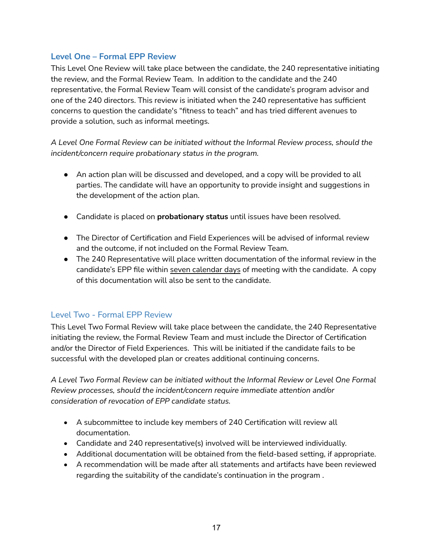#### <span id="page-16-0"></span>**Level One – Formal EPP Review**

This Level One Review will take place between the candidate, the 240 representative initiating the review, and the Formal Review Team. In addition to the candidate and the 240 representative, the Formal Review Team will consist of the candidate's program advisor and one of the 240 directors. This review is initiated when the 240 representative has sufficient concerns to question the candidate's "fitness to teach" and has tried different avenues to provide a solution, such as informal meetings.

*A Level One Formal Review can be initiated without the Informal Review process, should the incident/concern require probationary status in the program.*

- An action plan will be discussed and developed, and a copy will be provided to all parties. The candidate will have an opportunity to provide insight and suggestions in the development of the action plan.
- Candidate is placed on **probationary status** until issues have been resolved.
- The Director of Certification and Field Experiences will be advised of informal review and the outcome, if not included on the Formal Review Team.
- The 240 Representative will place written documentation of the informal review in the candidate's EPP file within seven calendar days of meeting with the candidate. A copy of this documentation will also be sent to the candidate.

#### <span id="page-16-1"></span>Level Two - Formal EPP Review

This Level Two Formal Review will take place between the candidate, the 240 Representative initiating the review, the Formal Review Team and must include the Director of Certification and/or the Director of Field Experiences. This will be initiated if the candidate fails to be successful with the developed plan or creates additional continuing concerns.

*A Level Two Formal Review can be initiated without the Informal Review or Level One Formal Review processes, should the incident/concern require immediate attention and/or consideration of revocation of EPP candidate status.*

- A subcommittee to include key members of 240 Certification will review all documentation.
- Candidate and 240 representative(s) involved will be interviewed individually.
- Additional documentation will be obtained from the field-based setting, if appropriate.
- A recommendation will be made after all statements and artifacts have been reviewed regarding the suitability of the candidate's continuation in the program .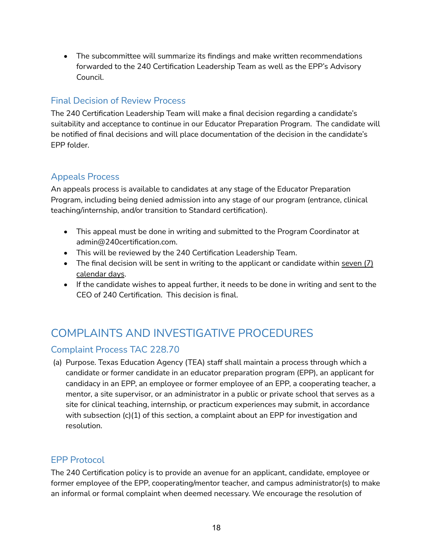• The subcommittee will summarize its findings and make written recommendations forwarded to the 240 Certification Leadership Team as well as the EPP's Advisory Council.

#### <span id="page-17-0"></span>Final Decision of Review Process

The 240 Certification Leadership Team will make a final decision regarding a candidate's suitability and acceptance to continue in our Educator Preparation Program. The candidate will be notified of final decisions and will place documentation of the decision in the candidate's EPP folder.

#### <span id="page-17-1"></span>Appeals Process

An appeals process is available to candidates at any stage of the Educator Preparation Program, including being denied admission into any stage of our program (entrance, clinical teaching/internship, and/or transition to Standard certification).

- This appeal must be done in writing and submitted to the Program Coordinator at admin@240certification.com.
- This will be reviewed by the 240 Certification Leadership Team.
- The final decision will be sent in writing to the applicant or candidate within seven (7) calendar days.
- If the candidate wishes to appeal further, it needs to be done in writing and sent to the CEO of 240 Certification. This decision is final.

# <span id="page-17-2"></span>COMPLAINTS AND INVESTIGATIVE PROCEDURES

#### <span id="page-17-3"></span>Complaint Process TAC 228.70

(a) Purpose. Texas Education Agency (TEA) staff shall maintain a process through which a candidate or former candidate in an educator preparation program (EPP), an applicant for candidacy in an EPP, an employee or former employee of an EPP, a cooperating teacher, a mentor, a site supervisor, or an administrator in a public or private school that serves as a site for clinical teaching, internship, or practicum experiences may submit, in accordance with subsection (c)(1) of this section, a complaint about an EPP for investigation and resolution.

#### <span id="page-17-4"></span>EPP Protocol

The 240 Certification policy is to provide an avenue for an applicant, candidate, employee or former employee of the EPP, cooperating/mentor teacher, and campus administrator(s) to make an informal or formal complaint when deemed necessary. We encourage the resolution of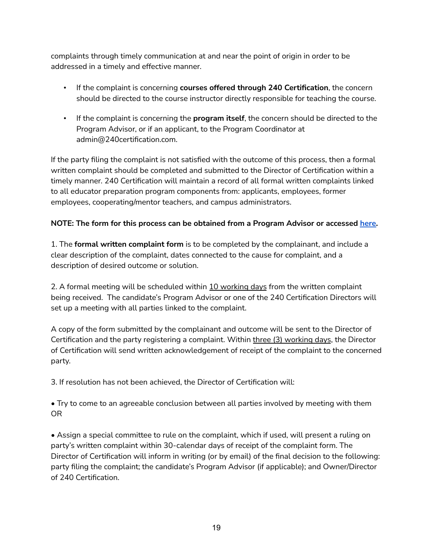complaints through timely communication at and near the point of origin in order to be addressed in a timely and effective manner.

- If the complaint is concerning **courses offered through 240 Certification**, the concern should be directed to the course instructor directly responsible for teaching the course.
- If the complaint is concerning the **program itself**, the concern should be directed to the Program Advisor, or if an applicant, to the Program Coordinator at admin@240certification.com.

If the party filing the complaint is not satisfied with the outcome of this process, then a formal written complaint should be completed and submitted to the Director of Certification within a timely manner. 240 Certification will maintain a record of all formal written complaints linked to all educator preparation program components from: applicants, employees, former employees, cooperating/mentor teachers, and campus administrators.

#### **NOTE: The form for this process can be obtained from a Program Advisor or accessed [here.](https://form.jotform.com/211152197414045)**

1. The **formal written complaint form** is to be completed by the complainant, and include a clear description of the complaint, dates connected to the cause for complaint, and a description of desired outcome or solution.

2. A formal meeting will be scheduled within 10 working days from the written complaint being received. The candidate's Program Advisor or one of the 240 Certification Directors will set up a meeting with all parties linked to the complaint.

A copy of the form submitted by the complainant and outcome will be sent to the Director of Certification and the party registering a complaint. Within three (3) working days, the Director of Certification will send written acknowledgement of receipt of the complaint to the concerned party.

3. If resolution has not been achieved, the Director of Certification will:

• Try to come to an agreeable conclusion between all parties involved by meeting with them OR

• Assign a special committee to rule on the complaint, which if used, will present a ruling on party's written complaint within 30-calendar days of receipt of the complaint form. The Director of Certification will inform in writing (or by email) of the final decision to the following: party filing the complaint; the candidate's Program Advisor (if applicable); and Owner/Director of 240 Certification.